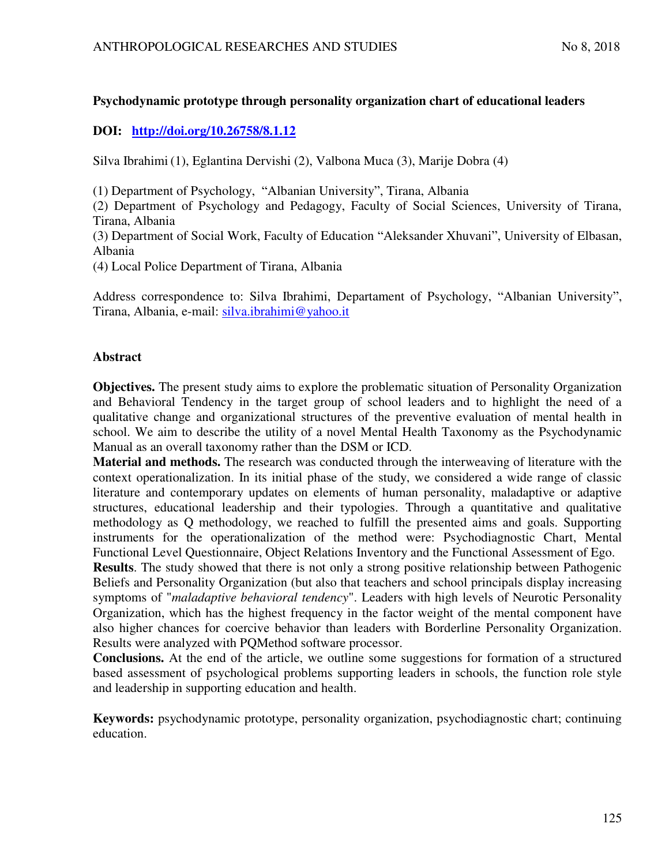# **Psychodynamic prototype through personality organization chart of educational leaders**

# **DOI: <http://doi.org/10.26758/8.1.12>**

Silva Ibrahimi (1), Eglantina Dervishi (2), Valbona Muca (3), Marije Dobra (4)

(1) Department of Psychology, "Albanian University", Tirana, Albania

(2) Department of Psychology and Pedagogy, Faculty of Social Sciences, University of Tirana, Tirana, Albania

(3) Department of Social Work, Faculty of Education "Aleksander Xhuvani", University of Elbasan, Albania

(4) Local Police Department of Tirana, Albania

Address correspondence to: Silva Ibrahimi, Departament of Psychology, "Albanian University", Tirana, Albania, e-mail: [silva.ibrahimi@yahoo.it](mailto:silva.ibrahimi@yahoo.it) 

## **Abstract**

**Objectives.** The present study aims to explore the problematic situation of Personality Organization and Behavioral Tendency in the target group of school leaders and to highlight the need of a qualitative change and organizational structures of the preventive evaluation of mental health in school. We aim to describe the utility of a novel Mental Health Taxonomy as the Psychodynamic Manual as an overall taxonomy rather than the DSM or ICD.

**Material and methods.** The research was conducted through the interweaving of literature with the context operationalization. In its initial phase of the study, we considered a wide range of classic literature and contemporary updates on elements of human personality, maladaptive or adaptive structures, educational leadership and their typologies. Through a quantitative and qualitative methodology as Q methodology, we reached to fulfill the presented aims and goals. Supporting instruments for the operationalization of the method were: Psychodiagnostic Chart, Mental Functional Level Questionnaire, Object Relations Inventory and the Functional Assessment of Ego.

**Results**. The study showed that there is not only a strong positive relationship between Pathogenic Beliefs and Personality Organization (but also that teachers and school principals display increasing symptoms of "*maladaptive behavioral tendency*". Leaders with high levels of Neurotic Personality Organization, which has the highest frequency in the factor weight of the mental component have also higher chances for coercive behavior than leaders with Borderline Personality Organization. Results were analyzed with PQMethod software processor.

**Conclusions.** At the end of the article, we outline some suggestions for formation of a structured based assessment of psychological problems supporting leaders in schools, the function role style and leadership in supporting education and health.

**Keywords:** psychodynamic prototype, personality organization, psychodiagnostic chart; continuing education.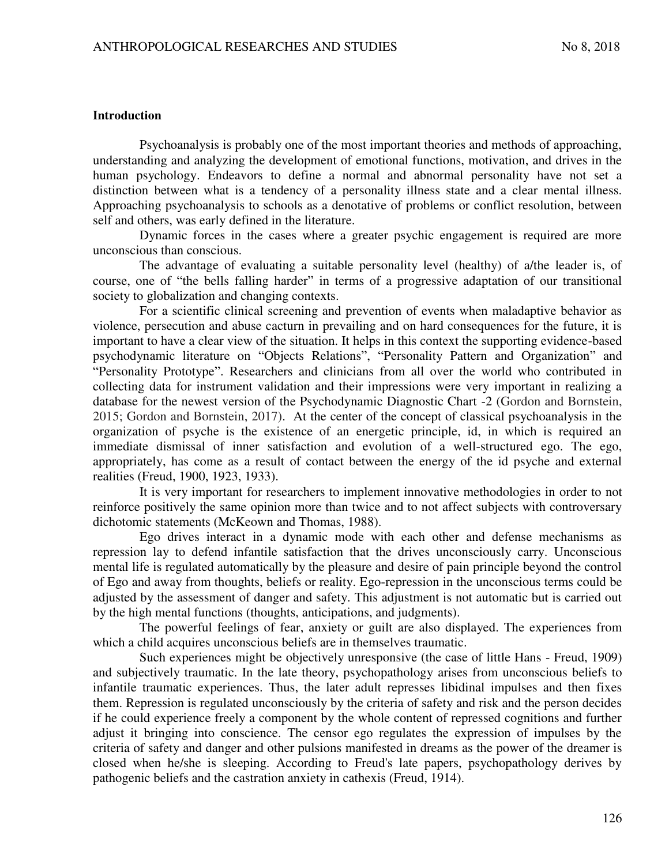#### **Introduction**

Psychoanalysis is probably one of the most important theories and methods of approaching, understanding and analyzing the development of emotional functions, motivation, and drives in the human psychology. Endeavors to define a normal and abnormal personality have not set a distinction between what is a tendency of a personality illness state and a clear mental illness. Approaching psychoanalysis to schools as a denotative of problems or conflict resolution, between self and others, was early defined in the literature.

Dynamic forces in the cases where a greater psychic engagement is required are more unconscious than conscious.

The advantage of evaluating a suitable personality level (healthy) of a/the leader is, of course, one of "the bells falling harder" in terms of a progressive adaptation of our transitional society to globalization and changing contexts.

For a scientific clinical screening and prevention of events when maladaptive behavior as violence, persecution and abuse cacturn in prevailing and on hard consequences for the future, it is important to have a clear view of the situation. It helps in this context the supporting evidence-based psychodynamic literature on "Objects Relations", "Personality Pattern and Organization" and "Personality Prototype". Researchers and clinicians from all over the world who contributed in collecting data for instrument validation and their impressions were very important in realizing a database for the newest version of the Psychodynamic Diagnostic Chart -2 (Gordon and Bornstein, 2015; Gordon and Bornstein, 2017). At the center of the concept of classical psychoanalysis in the organization of psyche is the existence of an energetic principle, id, in which is required an immediate dismissal of inner satisfaction and evolution of a well-structured ego. The ego, appropriately, has come as a result of contact between the energy of the id psyche and external realities (Freud, 1900, 1923, 1933).

It is very important for researchers to implement innovative methodologies in order to not reinforce positively the same opinion more than twice and to not affect subjects with controversary dichotomic statements (McKeown and Thomas, 1988).

Ego drives interact in a dynamic mode with each other and defense mechanisms as repression lay to defend infantile satisfaction that the drives unconsciously carry. Unconscious mental life is regulated automatically by the pleasure and desire of pain principle beyond the control of Ego and away from thoughts, beliefs or reality. Ego-repression in the unconscious terms could be adjusted by the assessment of danger and safety. This adjustment is not automatic but is carried out by the high mental functions (thoughts, anticipations, and judgments).

The powerful feelings of fear, anxiety or guilt are also displayed. The experiences from which a child acquires unconscious beliefs are in themselves traumatic.

Such experiences might be objectively unresponsive (the case of little Hans - Freud, 1909) and subjectively traumatic. In the late theory, psychopathology arises from unconscious beliefs to infantile traumatic experiences. Thus, the later adult represses libidinal impulses and then fixes them. Repression is regulated unconsciously by the criteria of safety and risk and the person decides if he could experience freely a component by the whole content of repressed cognitions and further adjust it bringing into conscience. The censor ego regulates the expression of impulses by the criteria of safety and danger and other pulsions manifested in dreams as the power of the dreamer is closed when he/she is sleeping. According to Freud's late papers, psychopathology derives by pathogenic beliefs and the castration anxiety in cathexis (Freud, 1914).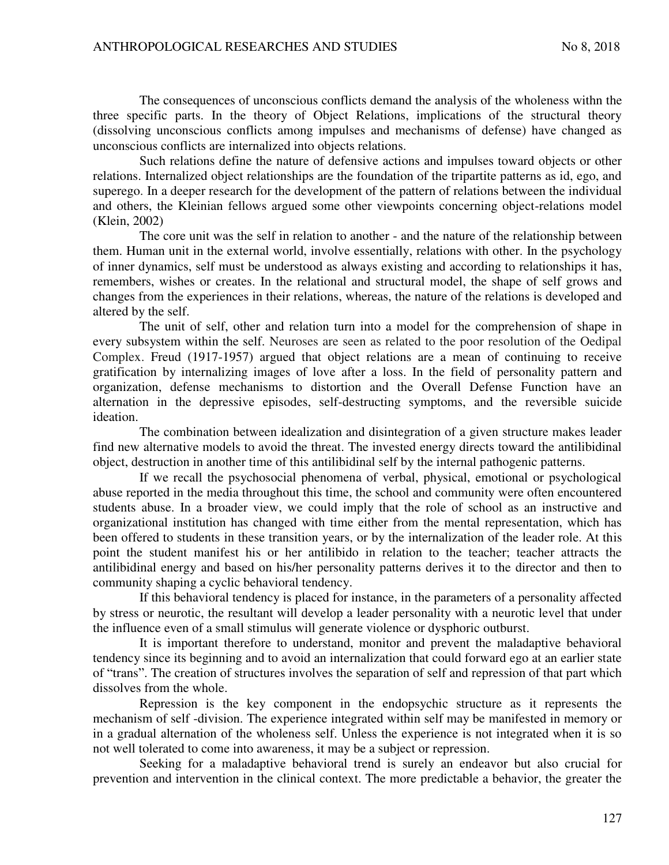The consequences of unconscious conflicts demand the analysis of the wholeness withn the three specific parts. In the theory of Object Relations, implications of the structural theory (dissolving unconscious conflicts among impulses and mechanisms of defense) have changed as unconscious conflicts are internalized into objects relations.

Such relations define the nature of defensive actions and impulses toward objects or other relations. Internalized object relationships are the foundation of the tripartite patterns as id, ego, and superego. In a deeper research for the development of the pattern of relations between the individual and others, the Kleinian fellows argued some other viewpoints concerning object-relations model (Klein, 2002)

The core unit was the self in relation to another - and the nature of the relationship between them. Human unit in the external world, involve essentially, relations with other. In the psychology of inner dynamics, self must be understood as always existing and according to relationships it has, remembers, wishes or creates. In the relational and structural model, the shape of self grows and changes from the experiences in their relations, whereas, the nature of the relations is developed and altered by the self.

The unit of self, other and relation turn into a model for the comprehension of shape in every subsystem within the self. Neuroses are seen as related to the poor resolution of the Oedipal Complex. Freud (1917-1957) argued that object relations are a mean of continuing to receive gratification by internalizing images of love after a loss. In the field of personality pattern and organization, defense mechanisms to distortion and the Overall Defense Function have an alternation in the depressive episodes, self-destructing symptoms, and the reversible suicide ideation.

The combination between idealization and disintegration of a given structure makes leader find new alternative models to avoid the threat. The invested energy directs toward the antilibidinal object, destruction in another time of this antilibidinal self by the internal pathogenic patterns.

If we recall the psychosocial phenomena of verbal, physical, emotional or psychological abuse reported in the media throughout this time, the school and community were often encountered students abuse. In a broader view, we could imply that the role of school as an instructive and organizational institution has changed with time either from the mental representation, which has been offered to students in these transition years, or by the internalization of the leader role. At this point the student manifest his or her antilibido in relation to the teacher; teacher attracts the antilibidinal energy and based on his/her personality patterns derives it to the director and then to community shaping a cyclic behavioral tendency.

If this behavioral tendency is placed for instance, in the parameters of a personality affected by stress or neurotic, the resultant will develop a leader personality with a neurotic level that under the influence even of a small stimulus will generate violence or dysphoric outburst.

It is important therefore to understand, monitor and prevent the maladaptive behavioral tendency since its beginning and to avoid an internalization that could forward ego at an earlier state of "trans". The creation of structures involves the separation of self and repression of that part which dissolves from the whole.

Repression is the key component in the endopsychic structure as it represents the mechanism of self -division. The experience integrated within self may be manifested in memory or in a gradual alternation of the wholeness self. Unless the experience is not integrated when it is so not well tolerated to come into awareness, it may be a subject or repression.

Seeking for a maladaptive behavioral trend is surely an endeavor but also crucial for prevention and intervention in the clinical context. The more predictable a behavior, the greater the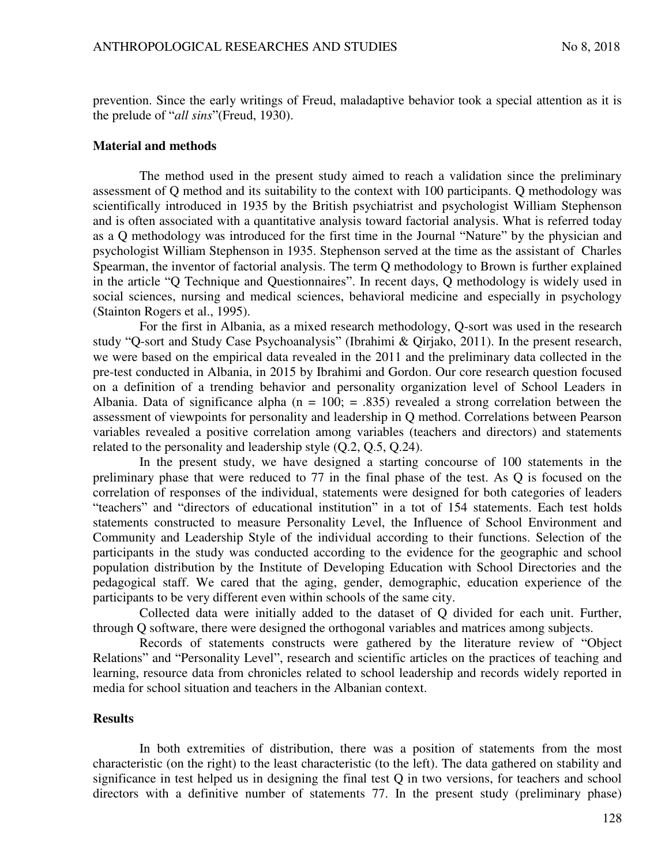prevention. Since the early writings of Freud, maladaptive behavior took a special attention as it is the prelude of "*all sins*"(Freud, 1930).

#### **Material and methods**

The method used in the present study aimed to reach a validation since the preliminary assessment of Q method and its suitability to the context with 100 participants. Q methodology was scientifically introduced in 1935 by the British psychiatrist and psychologist William Stephenson and is often associated with a quantitative analysis toward factorial analysis. What is referred today as a Q methodology was introduced for the first time in the Journal "Nature" by the physician and psychologist William Stephenson in 1935. Stephenson served at the time as the assistant of Charles Spearman, the inventor of factorial analysis. The term Q methodology to Brown is further explained in the article "Q Technique and Questionnaires". In recent days, Q methodology is widely used in social sciences, nursing and medical sciences, behavioral medicine and especially in psychology (Stainton Rogers et al., 1995).

For the first in Albania, as a mixed research methodology, Q-sort was used in the research study "Q-sort and Study Case Psychoanalysis" (Ibrahimi & Qirjako, 2011). In the present research, we were based on the empirical data revealed in the 2011 and the preliminary data collected in the pre-test conducted in Albania, in 2015 by Ibrahimi and Gordon. Our core research question focused on a definition of a trending behavior and personality organization level of School Leaders in Albania. Data of significance alpha ( $n = 100$ ;  $= .835$ ) revealed a strong correlation between the assessment of viewpoints for personality and leadership in Q method. Correlations between Pearson variables revealed a positive correlation among variables (teachers and directors) and statements related to the personality and leadership style (Q.2, Q.5, Q.24).

In the present study, we have designed a starting concourse of 100 statements in the preliminary phase that were reduced to 77 in the final phase of the test. As Q is focused on the correlation of responses of the individual, statements were designed for both categories of leaders "teachers" and "directors of educational institution" in a tot of 154 statements. Each test holds statements constructed to measure Personality Level, the Influence of School Environment and Community and Leadership Style of the individual according to their functions. Selection of the participants in the study was conducted according to the evidence for the geographic and school population distribution by the Institute of Developing Education with School Directories and the pedagogical staff. We cared that the aging, gender, demographic, education experience of the participants to be very different even within schools of the same city.

Collected data were initially added to the dataset of Q divided for each unit. Further, through Q software, there were designed the orthogonal variables and matrices among subjects.

Records of statements constructs were gathered by the literature review of "Object Relations" and "Personality Level", research and scientific articles on the practices of teaching and learning, resource data from chronicles related to school leadership and records widely reported in media for school situation and teachers in the Albanian context.

#### **Results**

In both extremities of distribution, there was a position of statements from the most characteristic (on the right) to the least characteristic (to the left). The data gathered on stability and significance in test helped us in designing the final test Q in two versions, for teachers and school directors with a definitive number of statements 77. In the present study (preliminary phase)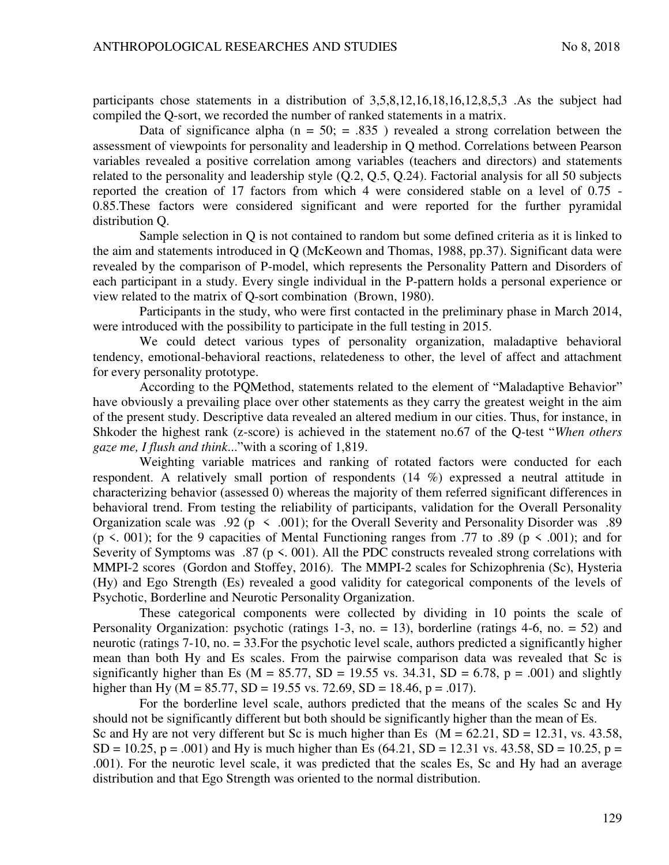participants chose statements in a distribution of 3,5,8,12,16,18,16,12,8,5,3 .As the subject had compiled the Q-sort, we recorded the number of ranked statements in a matrix.

Data of significance alpha ( $n = 50$ ;  $= .835$ ) revealed a strong correlation between the assessment of viewpoints for personality and leadership in Q method. Correlations between Pearson variables revealed a positive correlation among variables (teachers and directors) and statements related to the personality and leadership style (Q.2, Q.5, Q.24). Factorial analysis for all 50 subjects reported the creation of 17 factors from which 4 were considered stable on a level of 0.75 - 0.85.These factors were considered significant and were reported for the further pyramidal distribution Q.

Sample selection in Q is not contained to random but some defined criteria as it is linked to the aim and statements introduced in Q (McKeown and Thomas, 1988, pp.37). Significant data were revealed by the comparison of P-model, which represents the Personality Pattern and Disorders of each participant in a study. Every single individual in the P-pattern holds a personal experience or view related to the matrix of Q-sort combination (Brown, 1980).

Participants in the study, who were first contacted in the preliminary phase in March 2014, were introduced with the possibility to participate in the full testing in 2015.

We could detect various types of personality organization, maladaptive behavioral tendency, emotional-behavioral reactions, relatedeness to other, the level of affect and attachment for every personality prototype.

According to the PQMethod, statements related to the element of "Maladaptive Behavior" have obviously a prevailing place over other statements as they carry the greatest weight in the aim of the present study. Descriptive data revealed an altered medium in our cities. Thus, for instance, in Shkoder the highest rank (z-score) is achieved in the statement no.67 of the Q-test "*When others gaze me, I flush and think*..."with a scoring of 1,819.

Weighting variable matrices and ranking of rotated factors were conducted for each respondent. A relatively small portion of respondents (14 %) expressed a neutral attitude in characterizing behavior (assessed 0) whereas the majority of them referred significant differences in behavioral trend. From testing the reliability of participants, validation for the Overall Personality Organization scale was .92 ( $p \le 0.001$ ); for the Overall Severity and Personality Disorder was .89 (p <. 001); for the 9 capacities of Mental Functioning ranges from .77 to .89 (p < .001); and for Severity of Symptoms was .87 ( $p \le 0.001$ ). All the PDC constructs revealed strong correlations with MMPI-2 scores (Gordon and Stoffey, 2016). The MMPI-2 scales for Schizophrenia (Sc), Hysteria (Hy) and Ego Strength (Es) revealed a good validity for categorical components of the levels of Psychotic, Borderline and Neurotic Personality Organization.

These categorical components were collected by dividing in 10 points the scale of Personality Organization: psychotic (ratings 1-3, no.  $= 13$ ), borderline (ratings 4-6, no.  $= 52$ ) and neurotic (ratings 7-10, no. = 33.For the psychotic level scale, authors predicted a significantly higher mean than both Hy and Es scales. From the pairwise comparison data was revealed that Sc is significantly higher than Es ( $M = 85.77$ ,  $SD = 19.55$  vs. 34.31,  $SD = 6.78$ ,  $p = .001$ ) and slightly higher than Hy (M =  $85.77$ , SD = 19.55 vs. 72.69, SD = 18.46, p = .017).

For the borderline level scale, authors predicted that the means of the scales Sc and Hy should not be significantly different but both should be significantly higher than the mean of Es. Sc and Hy are not very different but Sc is much higher than Es  $(M = 62.21, SD = 12.31, vs. 43.58,$  $SD = 10.25$ ,  $p = .001$ ) and Hy is much higher than Es (64.21,  $SD = 12.31$  vs. 43.58,  $SD = 10.25$ ,  $p =$ .001). For the neurotic level scale, it was predicted that the scales Es, Sc and Hy had an average distribution and that Ego Strength was oriented to the normal distribution.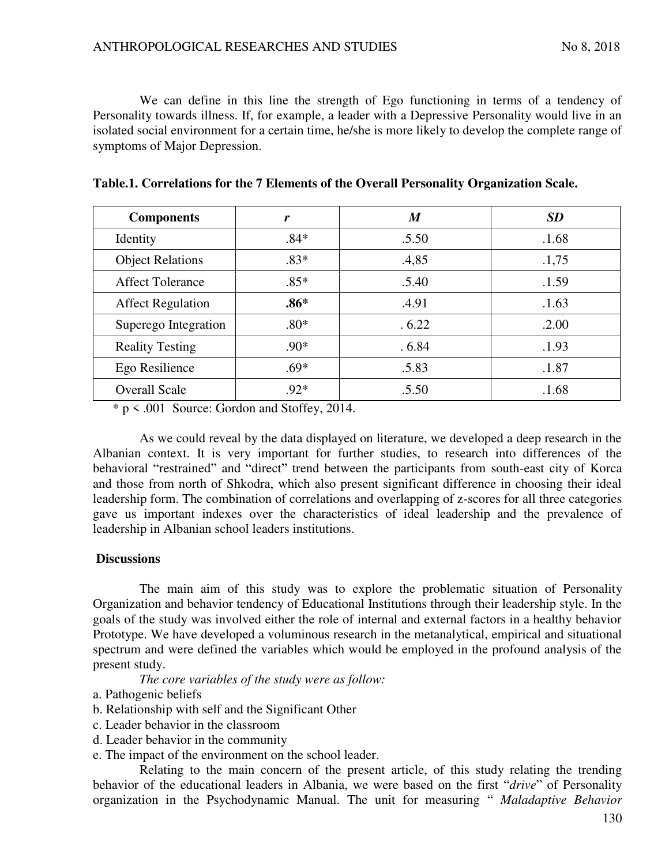We can define in this line the strength of Ego functioning in terms of a tendency of Personality towards illness. If, for example, a leader with a Depressive Personality would live in an isolated social environment for a certain time, he/she is more likely to develop the complete range of symptoms of Major Depression.

| <b>Components</b>        | r      | $\boldsymbol{M}$ | <b>SD</b> |
|--------------------------|--------|------------------|-----------|
| Identity                 | $.84*$ | .5.50            | .1.68     |
| <b>Object Relations</b>  | $.83*$ | .4,85            | .1,75     |
| <b>Affect Tolerance</b>  | $.85*$ | .5.40            | .1.59     |
| <b>Affect Regulation</b> | $.86*$ | .4.91            | .1.63     |
| Superego Integration     | $.80*$ | .6.22            | .2.00     |
| <b>Reality Testing</b>   | $.90*$ | .6.84            | .1.93     |
| Ego Resilience           | $.69*$ | .5.83            | .1.87     |
| <b>Overall Scale</b>     | $.92*$ | .5.50            | .1.68     |

\* p < .001 Source: Gordon and Stoffey, 2014.

As we could reveal by the data displayed on literature, we developed a deep research in the Albanian context. It is very important for further studies, to research into differences of the behavioral "restrained" and "direct" trend between the participants from south-east city of Korca and those from north of Shkodra, which also present significant difference in choosing their ideal leadership form. The combination of correlations and overlapping of z-scores for all three categories gave us important indexes over the characteristics of ideal leadership and the prevalence of leadership in Albanian school leaders institutions.

### **Discussions**

The main aim of this study was to explore the problematic situation of Personality Organization and behavior tendency of Educational Institutions through their leadership style. In the goals of the study was involved either the role of internal and external factors in a healthy behavior Prototype. We have developed a voluminous research in the metanalytical, empirical and situational spectrum and were defined the variables which would be employed in the profound analysis of the present study.

*The core variables of the study were as follow:*

- a. Pathogenic beliefs
- b. Relationship with self and the Significant Other
- c. Leader behavior in the classroom
- d. Leader behavior in the community
- e. The impact of the environment on the school leader.

Relating to the main concern of the present article, of this study relating the trending behavior of the educational leaders in Albania, we were based on the first "*drive*" of Personality organization in the Psychodynamic Manual. The unit for measuring " *Maladaptive Behavior*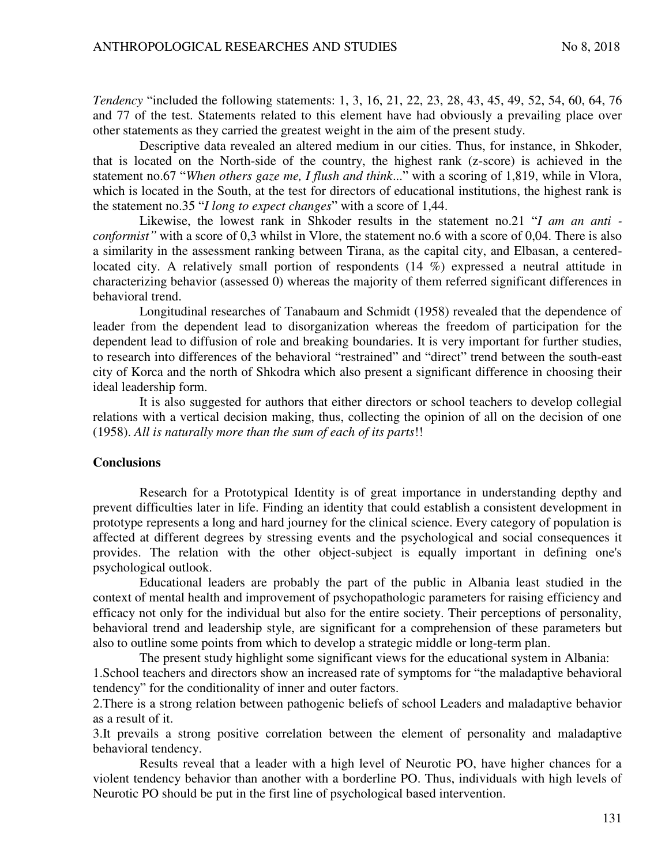*Tendency* "included the following statements: 1, 3, 16, 21, 22, 23, 28, 43, 45, 49, 52, 54, 60, 64, 76 and 77 of the test. Statements related to this element have had obviously a prevailing place over other statements as they carried the greatest weight in the aim of the present study.

Descriptive data revealed an altered medium in our cities. Thus, for instance, in Shkoder, that is located on the North-side of the country, the highest rank (z-score) is achieved in the statement no.67 "*When others gaze me, I flush and think*..." with a scoring of 1,819, while in Vlora, which is located in the South, at the test for directors of educational institutions, the highest rank is the statement no.35 "*I long to expect changes*" with a score of 1,44.

Likewise, the lowest rank in Shkoder results in the statement no.21 "*I am an anti conformist"* with a score of 0,3 whilst in Vlore, the statement no.6 with a score of 0,04. There is also a similarity in the assessment ranking between Tirana, as the capital city, and Elbasan, a centeredlocated city. A relatively small portion of respondents (14 %) expressed a neutral attitude in characterizing behavior (assessed 0) whereas the majority of them referred significant differences in behavioral trend.

Longitudinal researches of Tanabaum and Schmidt (1958) revealed that the dependence of leader from the dependent lead to disorganization whereas the freedom of participation for the dependent lead to diffusion of role and breaking boundaries. It is very important for further studies, to research into differences of the behavioral "restrained" and "direct" trend between the south-east city of Korca and the north of Shkodra which also present a significant difference in choosing their ideal leadership form.

It is also suggested for authors that either directors or school teachers to develop collegial relations with a vertical decision making, thus, collecting the opinion of all on the decision of one (1958). *All is naturally more than the sum of each of its parts*!!

#### **Conclusions**

Research for a Prototypical Identity is of great importance in understanding depthy and prevent difficulties later in life. Finding an identity that could establish a consistent development in prototype represents a long and hard journey for the clinical science. Every category of population is affected at different degrees by stressing events and the psychological and social consequences it provides. The relation with the other object-subject is equally important in defining one's psychological outlook.

Educational leaders are probably the part of the public in Albania least studied in the context of mental health and improvement of psychopathologic parameters for raising efficiency and efficacy not only for the individual but also for the entire society. Their perceptions of personality, behavioral trend and leadership style, are significant for a comprehension of these parameters but also to outline some points from which to develop a strategic middle or long-term plan.

The present study highlight some significant views for the educational system in Albania: 1.School teachers and directors show an increased rate of symptoms for "the maladaptive behavioral tendency" for the conditionality of inner and outer factors.

2.There is a strong relation between pathogenic beliefs of school Leaders and maladaptive behavior as a result of it.

3.It prevails a strong positive correlation between the element of personality and maladaptive behavioral tendency.

Results reveal that a leader with a high level of Neurotic PO, have higher chances for a violent tendency behavior than another with a borderline PO. Thus, individuals with high levels of Neurotic PO should be put in the first line of psychological based intervention.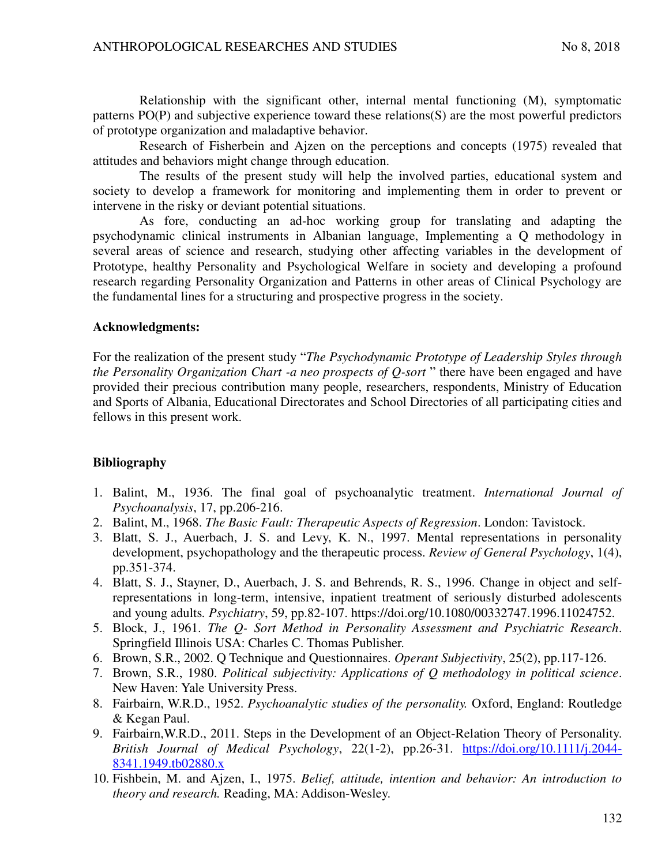Relationship with the significant other, internal mental functioning (M), symptomatic patterns PO(P) and subjective experience toward these relations(S) are the most powerful predictors of prototype organization and maladaptive behavior.

Research of Fisherbein and Ajzen on the perceptions and concepts (1975) revealed that attitudes and behaviors might change through education.

The results of the present study will help the involved parties, educational system and society to develop a framework for monitoring and implementing them in order to prevent or intervene in the risky or deviant potential situations.

As fore, conducting an ad-hoc working group for translating and adapting the psychodynamic clinical instruments in Albanian language, Implementing a Q methodology in several areas of science and research, studying other affecting variables in the development of Prototype, healthy Personality and Psychological Welfare in society and developing a profound research regarding Personality Organization and Patterns in other areas of Clinical Psychology are the fundamental lines for a structuring and prospective progress in the society.

### **Acknowledgments:**

For the realization of the present study "*The Psychodynamic Prototype of Leadership Styles through the Personality Organization Chart -a neo prospects of Q-sort* " there have been engaged and have provided their precious contribution many people, researchers, respondents, Ministry of Education and Sports of Albania, Educational Directorates and School Directories of all participating cities and fellows in this present work.

# **Bibliography**

- 1. Balint, M., 1936. The final goal of psychoanalytic treatment. *International Journal of Psychoanalysis*, 17, pp.206-216.
- 2. Balint, M., 1968. *The Basic Fault: Therapeutic Aspects of Regression*. London: Tavistock.
- 3. Blatt, S. J., Auerbach, J. S. and Levy, K. N., 1997. Mental representations in personality development, psychopathology and the therapeutic process. *Review of General Psychology*, 1(4), pp.351-374.
- 4. Blatt, S. J., Stayner, D., Auerbach, J. S. and Behrends, R. S., 1996. Change in object and selfrepresentations in long-term, intensive, inpatient treatment of seriously disturbed adolescents and young adults*. Psychiatry*, 59, pp.82-107. https://doi.org/10.1080/00332747.1996.11024752.
- 5. Block, J., 1961. *The Q- Sort Method in Personality Assessment and Psychiatric Research*. Springfield Illinois USA: Charles C. Thomas Publisher.
- 6. Brown, S.R., 2002. Q Technique and Questionnaires. *Operant Subjectivity*, 25(2), pp.117-126.
- 7. Brown, S.R., 1980. *Political subjectivity: Applications of Q methodology in political science*. New Haven: Yale University Press.
- 8. Fairbairn, W.R.D., 1952. *Psychoanalytic studies of the personality.* Oxford, England: Routledge & Kegan Paul.
- 9. Fairbairn,W.R.D., 2011. Steps in the Development of an Object-Relation Theory of Personality. *British Journal of Medical Psychology*, 22(1-2), pp.26-31. [https://doi.org/10.1111/j.2044-](https://doi.org/10.1111/j.2044-8341.1949.tb02880.x) [8341.1949.tb02880.x](https://doi.org/10.1111/j.2044-8341.1949.tb02880.x)
- 10. Fishbein, M. and Ajzen, I., 1975. *Belief, attitude, intention and behavior: An introduction to theory and research.* Reading, MA: Addison-Wesley.